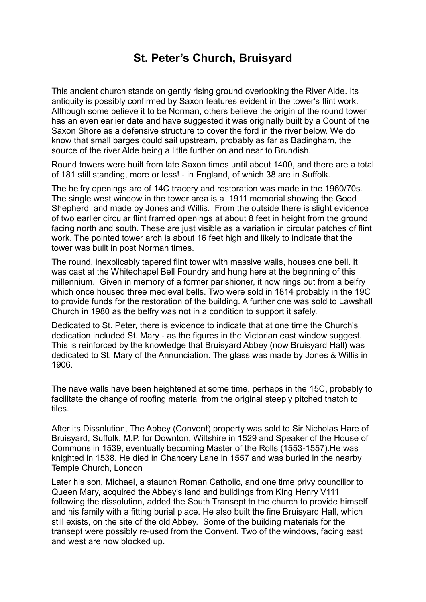## **St. Peter's Church, Bruisyard**

This ancient church stands on gently rising ground overlooking the River Alde. Its antiquity is possibly confirmed by Saxon features evident in the tower's flint work. Although some believe it to be Norman, others believe the origin of the round tower has an even earlier date and have suggested it was originally built by a Count of the Saxon Shore as a defensive structure to cover the ford in the river below. We do know that small barges could sail upstream, probably as far as Badingham, the source of the river Alde being a little further on and near to Brundish.

Round towers were built from late Saxon times until about 1400, and there are a total of 181 still standing, more or less! - in England, of which 38 are in Suffolk.

The belfry openings are of 14C tracery and restoration was made in the 1960/70s. The single west window in the tower area is a 1911 memorial showing the Good Shepherd and made by Jones and Willis. From the outside there is slight evidence of two earlier circular flint framed openings at about 8 feet in height from the ground facing north and south. These are just visible as a variation in circular patches of flint work. The pointed tower arch is about 16 feet high and likely to indicate that the tower was built in post Norman times.

The round, inexplicably tapered flint tower with massive walls, houses one bell. It was cast at the Whitechapel Bell Foundry and hung here at the beginning of this millennium. Given in memory of a former parishioner, it now rings out from a belfry which once housed three medieval bells. Two were sold in 1814 probably in the 19C to provide funds for the restoration of the building. A further one was sold to Lawshall Church in 1980 as the belfry was not in a condition to support it safely.

Dedicated to St. Peter, there is evidence to indicate that at one time the Church's dedication included St. Mary - as the figures in the Victorian east window suggest. This is reinforced by the knowledge that Bruisyard Abbey (now Bruisyard Hall) was dedicated to St. Mary of the Annunciation. The glass was made by Jones & Willis in 1906.

The nave walls have been heightened at some time, perhaps in the 15C, probably to facilitate the change of roofing material from the original steeply pitched thatch to tiles.

After its Dissolution, The Abbey (Convent) property was sold to Sir Nicholas Hare of Bruisyard, Suffolk, M.P. for Downton, Wiltshire in 1529 and Speaker of the House of Commons in 1539, eventually becoming Master of the Rolls (1553-1557).He was knighted in 1538. He died in Chancery Lane in 1557 and was buried in the nearby Temple Church, London

Later his son, Michael, a staunch Roman Catholic, and one time privy councillor to Queen Mary, acquired the Abbey's land and buildings from King Henry V111 following the dissolution, added the South Transept to the church to provide himself and his family with a fitting burial place. He also built the fine Bruisyard Hall, which still exists, on the site of the old Abbey. Some of the building materials for the transept were possibly re-used from the Convent. Two of the windows, facing east and west are now blocked up.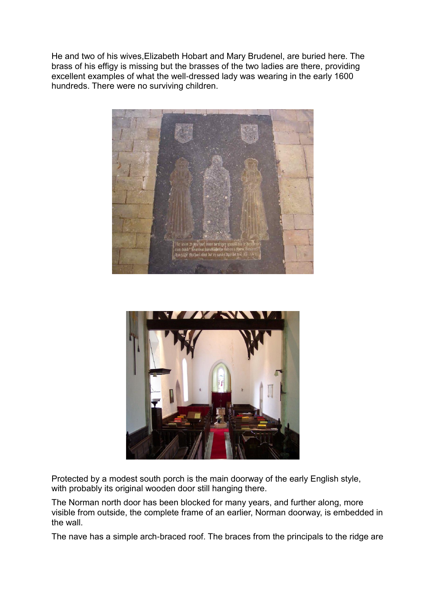He and two of his wives,Elizabeth Hobart and Mary Brudenel, are buried here. The brass of his effigy is missing but the brasses of the two ladies are there, providing excellent examples of what the well-dressed lady was wearing in the early 1600 hundreds. There were no surviving children.





Protected by a modest south porch is the main doorway of the early English style, with probably its original wooden door still hanging there.

The Norman north door has been blocked for many years, and further along, more visible from outside, the complete frame of an earlier, Norman doorway, is embedded in the wall.

The nave has a simple arch-braced roof. The braces from the principals to the ridge are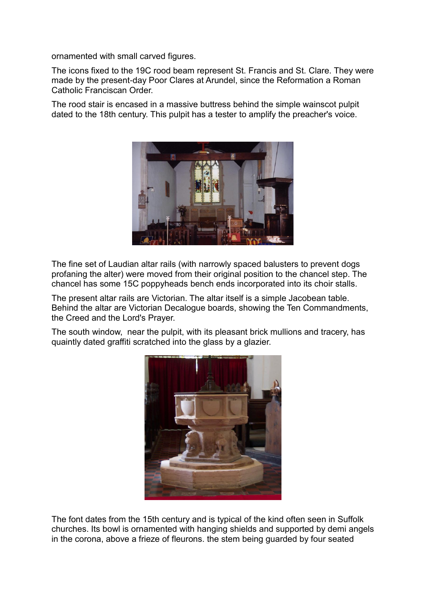ornamented with small carved figures.

The icons fixed to the 19C rood beam represent St. Francis and St. Clare. They were made by the present-day Poor Clares at Arundel, since the Reformation a Roman Catholic Franciscan Order.

The rood stair is encased in a massive buttress behind the simple wainscot pulpit dated to the 18th century. This pulpit has a tester to amplify the preacher's voice.



The fine set of Laudian altar rails (with narrowly spaced balusters to prevent dogs profaning the alter) were moved from their original position to the chancel step. The chancel has some 15C poppyheads bench ends incorporated into its choir stalls.

The present altar rails are Victorian. The altar itself is a simple Jacobean table. Behind the altar are Victorian Decalogue boards, showing the Ten Commandments, the Creed and the Lord's Prayer.

The south window, near the pulpit, with its pleasant brick mullions and tracery, has quaintly dated graffiti scratched into the glass by a glazier.



The font dates from the 15th century and is typical of the kind often seen in Suffolk churches. Its bowl is ornamented with hanging shields and supported by demi angels in the corona, above a frieze of fleurons. the stem being guarded by four seated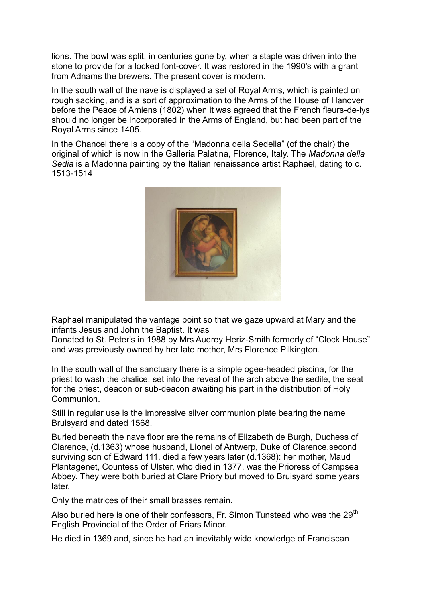lions. The bowl was split, in centuries gone by, when a staple was driven into the stone to provide for a locked font-cover. It was restored in the 1990's with a grant from Adnams the brewers. The present cover is modern.

In the south wall of the nave is displayed a set of Royal Arms, which is painted on rough sacking, and is a sort of approximation to the Arms of the House of Hanover before the Peace of Amiens (1802) when it was agreed that the French fleurs-de-lys should no longer be incorporated in the Arms of England, but had been part of the Royal Arms since 1405.

In the Chancel there is a copy of the "Madonna della Sedelia" (of the chair) the original of which is now in the Galleria Palatina, Florence, Italy. The *Madonna della Sedia* is a Madonna painting by the Italian renaissance artist Raphael, dating to c. 1513-1514



Raphael manipulated the vantage point so that we gaze upward at Mary and the infants Jesus and John the Baptist. It was

Donated to St. Peter's in 1988 by Mrs Audrey Heriz-Smith formerly of "Clock House" and was previously owned by her late mother, Mrs Florence Pilkington.

In the south wall of the sanctuary there is a simple ogee-headed piscina, for the priest to wash the chalice, set into the reveal of the arch above the sedile, the seat for the priest, deacon or sub-deacon awaiting his part in the distribution of Holy Communion.

Still in regular use is the impressive silver communion plate bearing the name Bruisyard and dated 1568.

Buried beneath the nave floor are the remains of Elizabeth de Burgh, Duchess of Clarence, (d.1363) whose husband, Lionel of Antwerp, Duke of Clarence,second surviving son of Edward 111, died a few years later (d.1368): her mother, Maud Plantagenet, Countess of Ulster, who died in 1377, was the Prioress of Campsea Abbey. They were both buried at Clare Priory but moved to Bruisyard some years later.

Only the matrices of their small brasses remain.

Also buried here is one of their confessors, Fr. Simon Tunstead who was the 29<sup>th</sup> English Provincial of the Order of Friars Minor.

He died in 1369 and, since he had an inevitably wide knowledge of Franciscan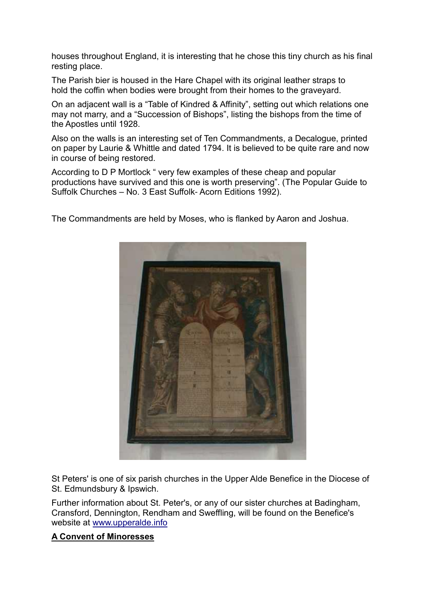houses throughout England, it is interesting that he chose this tiny church as his final resting place.

The Parish bier is housed in the Hare Chapel with its original leather straps to hold the coffin when bodies were brought from their homes to the graveyard.

On an adjacent wall is a "Table of Kindred & Affinity", setting out which relations one may not marry, and a "Succession of Bishops", listing the bishops from the time of the Apostles until 1928.

Also on the walls is an interesting set of Ten Commandments, a Decalogue, printed on paper by Laurie & Whittle and dated 1794. It is believed to be quite rare and now in course of being restored.

According to D P Mortlock " very few examples of these cheap and popular productions have survived and this one is worth preserving". (The Popular Guide to Suffolk Churches – No. 3 East Suffolk- Acorn Editions 1992).

The Commandments are held by Moses, who is flanked by Aaron and Joshua.



St Peters' is one of six parish churches in the Upper Alde Benefice in the Diocese of St. Edmundsbury & Ipswich.

Further information about St. Peter's, or any of our sister churches at Badingham, Cransford, Dennington, Rendham and Sweffling, will be found on the Benefice's website at [www.upperalde.info](http://www.upperalde.info/#_blank)

## **A Convent of Minoresses**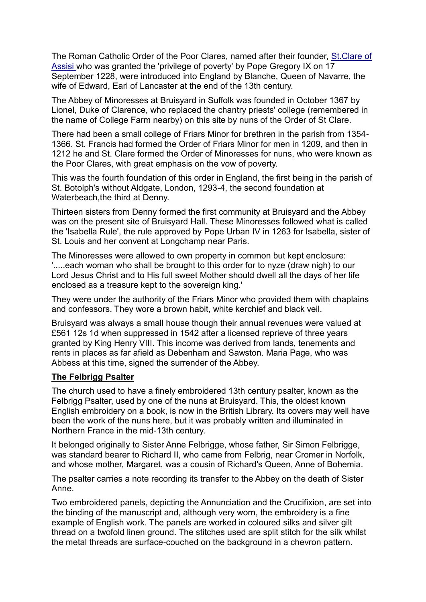The Roman Catholic Order of the Poor Clares, named after their founder, [St.Clare of](http://www.newadvent.org/cathen/04004a.htm#_blank)  [Assisi w](http://www.newadvent.org/cathen/04004a.htm#_blank)ho was granted the 'privilege of poverty' by Pope Gregory IX on 17 September 1228, were introduced into England by Blanche, Queen of Navarre, the wife of Edward, Earl of Lancaster at the end of the 13th century.

The Abbey of Minoresses at Bruisyard in Suffolk was founded in October 1367 by Lionel, Duke of Clarence, who replaced the chantry priests' college (remembered in the name of College Farm nearby) on this site by nuns of the Order of St Clare.

There had been a small college of Friars Minor for brethren in the parish from 1354- 1366. St. Francis had formed the Order of Friars Minor for men in 1209, and then in 1212 he and St. Clare formed the Order of Minoresses for nuns, who were known as the Poor Clares, with great emphasis on the vow of poverty.

This was the fourth foundation of this order in England, the first being in the parish of St. Botolph's without Aldgate, London, 1293-4, the second foundation at Waterbeach,the third at Denny.

Thirteen sisters from Denny formed the first community at Bruisyard and the Abbey was on the present site of Bruisyard Hall. These Minoresses followed what is called the 'Isabella Rule', the rule approved by Pope Urban IV in 1263 for Isabella, sister of St. Louis and her convent at Longchamp near Paris.

The Minoresses were allowed to own property in common but kept enclosure: '.....each woman who shall be brought to this order for to nyze (draw nigh) to our Lord Jesus Christ and to His full sweet Mother should dwell all the days of her life enclosed as a treasure kept to the sovereign king.'

They were under the authority of the Friars Minor who provided them with chaplains and confessors. They wore a brown habit, white kerchief and black veil.

Bruisyard was always a small house though their annual revenues were valued at £561 12s 1d when suppressed in 1542 after a licensed reprieve of three years granted by King Henry VIII. This income was derived from lands, tenements and rents in places as far afield as Debenham and Sawston. Maria Page, who was Abbess at this time, signed the surrender of the Abbey.

## **The Felbrigg Psalter**

The church used to have a finely embroidered 13th century psalter, known as the Felbrigg Psalter, used by one of the nuns at Bruisyard. This, the oldest known English embroidery on a book, is now in the British Library. Its covers may well have been the work of the nuns here, but it was probably written and illuminated in Northern France in the mid-13th century.

It belonged originally to Sister Anne Felbrigge, whose father, Sir Simon Felbrigge, was standard bearer to Richard II, who came from Felbrig, near Cromer in Norfolk, and whose mother, Margaret, was a cousin of Richard's Queen, Anne of Bohemia.

The psalter carries a note recording its transfer to the Abbey on the death of Sister Anne.

Two embroidered panels, depicting the Annunciation and the Crucifixion, are set into the binding of the manuscript and, although very worn, the embroidery is a fine example of English work. The panels are worked in coloured silks and silver gilt thread on a twofold linen ground. The stitches used are split stitch for the silk whilst the metal threads are surface-couched on the background in a chevron pattern.